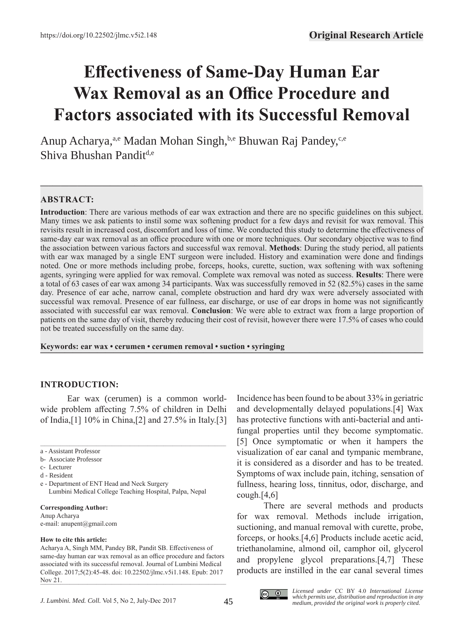# **Effectiveness of Same-Day Human Ear Wax Removal as an Office Procedure and Factors associated with its Successful Removal**

Anup Acharya,<sup>a,e</sup> Madan Mohan Singh,<sup>b,e</sup> Bhuwan Raj Pandey,<sup>c,e</sup> Shiva Bhushan Pandit<sup>d,e</sup>

# **ABSTRACT:**

**Introduction**: There are various methods of ear wax extraction and there are no specific guidelines on this subject. Many times we ask patients to instil some wax softening product for a few days and revisit for wax removal. This revisits result in increased cost, discomfort and loss of time. We conducted this study to determine the effectiveness of same-day ear wax removal as an office procedure with one or more techniques. Our secondary objective was to find the association between various factors and successful wax removal. **Methods**: During the study period, all patients with ear wax managed by a single ENT surgeon were included. History and examination were done and findings noted. One or more methods including probe, forceps, hooks, curette, suction, wax softening with wax softening agents, syringing were applied for wax removal. Complete wax removal was noted as success. **Results**: There were a total of 63 cases of ear wax among 34 participants. Wax was successfully removed in 52 (82.5%) cases in the same day. Presence of ear ache, narrow canal, complete obstruction and hard dry wax were adversely associated with successful wax removal. Presence of ear fullness, ear discharge, or use of ear drops in home was not significantly associated with successful ear wax removal. **Conclusion**: We were able to extract wax from a large proportion of patients on the same day of visit, thereby reducing their cost of revisit, however there were 17.5% of cases who could not be treated successfully on the same day.

**—–—————————————————————————————————————————————**

Keywords: ear wax • cerumen • cerumen removal • suction • syringing

## **INTRODUCTION:**

Ear wax (cerumen) is a common worldwide problem affecting 7.5% of children in Delhi of India,[1] 10% in China,[2] and 27.5% in Italy.[3]

\_\_\_\_\_\_\_\_\_\_\_\_\_\_\_\_\_\_\_\_\_\_\_\_\_\_\_\_\_\_\_\_\_\_\_\_\_\_\_\_\_\_\_\_\_\_\_\_\_\_\_\_\_\_\_\_\_\_\_\_\_\_\_\_\_\_\_\_\_\_\_\_\_\_\_\_\_\_\_\_\_\_\_

e - Department of ENT Head and Neck Surgery Lumbini Medical College Teaching Hospital, Palpa, Nepal

#### **Corresponding Author:**

Anup Acharya e-mail: anupent@gmail.com

#### **How to cite this article:**

Acharya A, Singh MM, Pandey BR, Pandit SB. Effectiveness of same-day human ear wax removal as an office procedure and factors associated with its successful removal. Journal of Lumbini Medical College. 2017;5(2):45-48. doi: 10.22502/jlmc.v5i1.148. Epub: 2017 Nov 21.  $\frac{1}{1000}$  21.

Incidence has been found to be about 33% in geriatric and developmentally delayed populations.[4] Wax has protective functions with anti-bacterial and antifungal properties until they become symptomatic. [5] Once symptomatic or when it hampers the visualization of ear canal and tympanic membrane, it is considered as a disorder and has to be treated. Symptoms of wax include pain, itching, sensation of fullness, hearing loss, tinnitus, odor, discharge, and cough. $[4,6]$ 

There are several methods and products for wax removal. Methods include irrigation, suctioning, and manual removal with curette, probe, forceps, or hooks.[4,6] Products include acetic acid, triethanolamine, almond oil, camphor oil, glycerol and propylene glycol preparations.[4,7] These products are instilled in the ear canal several times



a - Assistant Professor

b- Associate Professor

c- Lecturer

d - Resident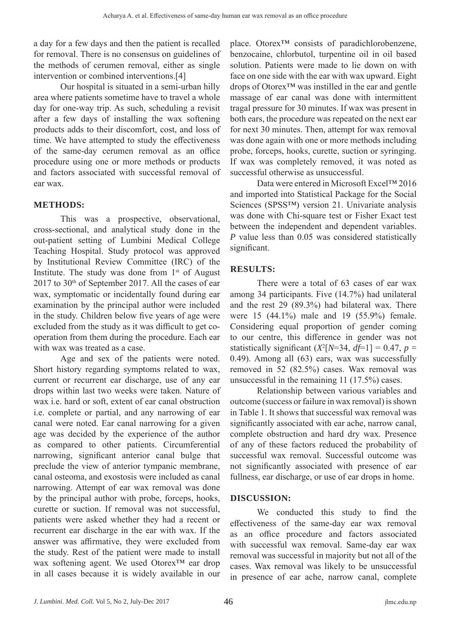a day for a few days and then the patient is recalled for removal. There is no consensus on guidelines of the methods of cerumen removal, either as single intervention or combined interventions.[4]

Our hospital is situated in a semi-urban hilly area where patients sometime have to travel a whole day for one-way trip. As such, scheduling a revisit after a few days of installing the wax softening products adds to their discomfort, cost, and loss of time. We have attempted to study the effectiveness of the same-day cerumen removal as an office procedure using one or more methods or products and factors associated with successful removal of ear wax.

## **METHODS:**

This was a prospective, observational, cross-sectional, and analytical study done in the out-patient setting of Lumbini Medical College Teaching Hospital. Study protocol was approved by Institutional Review Committee (IRC) of the Institute. The study was done from  $1<sup>st</sup>$  of August 2017 to 30<sup>th</sup> of September 2017. All the cases of ear wax, symptomatic or incidentally found during ear examination by the principal author were included in the study. Children below five years of age were excluded from the study as it was difficult to get cooperation from them during the procedure. Each ear with wax was treated as a case.

Age and sex of the patients were noted. Short history regarding symptoms related to wax, current or recurrent ear discharge, use of any ear drops within last two weeks were taken. Nature of wax i.e. hard or soft, extent of ear canal obstruction i.e. complete or partial, and any narrowing of ear canal were noted. Ear canal narrowing for a given age was decided by the experience of the author as compared to other patients. Circumferential narrowing, significant anterior canal bulge that preclude the view of anterior tympanic membrane, canal osteoma, and exostosis were included as canal narrowing. Attempt of ear wax removal was done by the principal author with probe, forceps, hooks, curette or suction. If removal was not successful, patients were asked whether they had a recent or recurrent ear discharge in the ear with wax. If the answer was affirmative, they were excluded from the study. Rest of the patient were made to install wax softening agent. We used Otorex™ ear drop in all cases because it is widely available in our

place. Otorex™ consists of paradichlorobenzene, benzocaine, chlorbutol, turpentine oil in oil based solution. Patients were made to lie down on with face on one side with the ear with wax upward. Eight drops of Otorex™ was instilled in the ear and gentle massage of ear canal was done with intermittent tragal pressure for 30 minutes. If wax was present in both ears, the procedure was repeated on the next ear for next 30 minutes. Then, attempt for wax removal was done again with one or more methods including probe, forceps, hooks, curette, suction or syringing. If wax was completely removed, it was noted as successful otherwise as unsuccessful.

Data were entered in Microsoft Excel™ 2016 and imported into Statistical Package for the Social Sciences (SPSS™) version 21. Univariate analysis was done with Chi-square test or Fisher Exact test between the independent and dependent variables. *P* value less than 0.05 was considered statistically significant.

# **RESULTS:**

There were a total of 63 cases of ear wax among 34 participants. Five (14.7%) had unilateral and the rest 29 (89.3%) had bilateral wax. There were 15 (44.1%) male and 19 (55.9%) female. Considering equal proportion of gender coming to our centre, this difference in gender was not statistically significant  $(X^2[N=34, df=1] = 0.47, p =$ 0.49). Among all (63) ears, wax was successfully removed in 52 (82.5%) cases. Wax removal was unsuccessful in the remaining 11 (17.5%) cases.

Relationship between various variables and outcome (success or failure in wax removal) is shown in Table 1. It shows that successful wax removal was significantly associated with ear ache, narrow canal, complete obstruction and hard dry wax. Presence of any of these factors reduced the probability of successful wax removal. Successful outcome was not significantly associated with presence of ear fullness, ear discharge, or use of ear drops in home.

## **DISCUSSION:**

We conducted this study to find the effectiveness of the same-day ear wax removal as an office procedure and factors associated with successful wax removal. Same-day ear wax removal was successful in majority but not all of the cases. Wax removal was likely to be unsuccessful in presence of ear ache, narrow canal, complete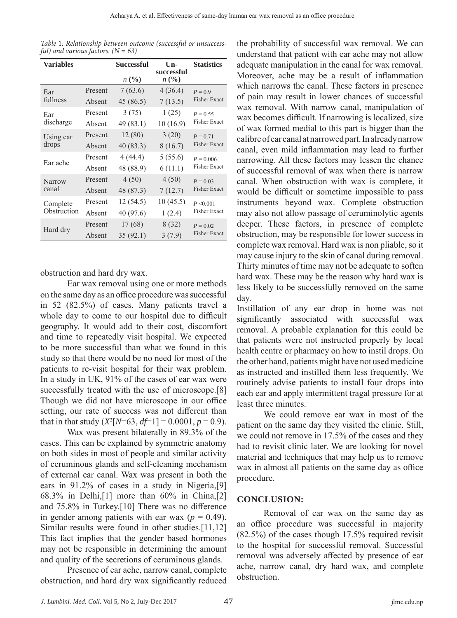| Table 1: Relationship between outcome (successful or unsuccess- |  |  |  |
|-----------------------------------------------------------------|--|--|--|
| ful) and various factors. $(N = 63)$                            |  |  |  |

| <b>Variables</b> |         | <b>Successful</b> | $\mathbf{U}$ n-<br>successful | <b>Statistics</b>                  |  |
|------------------|---------|-------------------|-------------------------------|------------------------------------|--|
|                  |         | n (%)             | n(%)                          |                                    |  |
| Ear              | Present | 7(63.6)           | 4 (36.4)                      | $P = 0.9$<br><b>Fisher Exact</b>   |  |
| fullness         | Absent  | 45 (86.5)         | 7(13.5)                       |                                    |  |
| Ear              | Present | 3(75)             | 1(25)                         | $P = 0.55$<br><b>Fisher Exact</b>  |  |
| discharge        | Absent  | 49 (83.1)         | 10(16.9)                      |                                    |  |
| Using ear        | Present | 12(80)            | 3(20)                         | $P = 0.71$<br><b>Fisher Exact</b>  |  |
| drops            | Absent  | 40(83.3)          | 8(16.7)                       |                                    |  |
| Ear ache         | Present | 4(44.4)           | 5(55.6)                       | $P = 0.006$<br><b>Fisher Exact</b> |  |
|                  | Absent  | 48 (88.9)         | 6(11.1)                       |                                    |  |
| <b>Narrow</b>    | Present | 4(50)             | 4(50)                         | $P = 0.03$                         |  |
| canal            | Absent  | 48 (87.3)         | 7(12.7)                       | <b>Fisher Exact</b>                |  |
| Complete         | Present | 12(54.5)          | 10(45.5)                      | P < 0.001<br><b>Fisher Exact</b>   |  |
| Obstruction      | Absent  | 40 (97.6)         | 1(2.4)                        |                                    |  |
|                  | Present | 17 (68)           | 8(32)                         | $P = 0.02$<br><b>Fisher Exact</b>  |  |
| Hard dry         | Absent  | 35(92.1)          | 3(7.9)                        |                                    |  |

obstruction and hard dry wax.

Ear wax removal using one or more methods on the same day as an office procedure was successful in 52 (82.5%) of cases. Many patients travel a whole day to come to our hospital due to difficult geography. It would add to their cost, discomfort and time to repeatedly visit hospital. We expected to be more successful than what we found in this study so that there would be no need for most of the patients to re-visit hospital for their wax problem. In a study in UK, 91% of the cases of ear wax were successfully treated with the use of microscope.[8] Though we did not have microscope in our office setting, our rate of success was not different than that in that study  $(X^2[N=63, df=1] = 0.0001, p = 0.9)$ .

Wax was present bilaterally in 89.3% of the cases. This can be explained by symmetric anatomy on both sides in most of people and similar activity of ceruminous glands and self-cleaning mechanism of external ear canal. Wax was present in both the ears in 91.2% of cases in a study in Nigeria,[9] 68.3% in Delhi,[1] more than 60% in China,[2] and 75.8% in Turkey.[10] There was no difference in gender among patients with ear wax ( $p = 0.49$ ). Similar results were found in other studies.[11,12] This fact implies that the gender based hormones may not be responsible in determining the amount and quality of the secretions of ceruminous glands.

Presence of ear ache, narrow canal, complete obstruction, and hard dry wax significantly reduced

the probability of successful wax removal. We can understand that patient with ear ache may not allow adequate manipulation in the canal for wax removal. Moreover, ache may be a result of inflammation which narrows the canal. These factors in presence of pain may result in lower chances of successful wax removal. With narrow canal, manipulation of wax becomes difficult. If narrowing is localized, size of wax formed medial to this part is bigger than the calibre of ear canal at narrowed part. In already narrow canal, even mild inflammation may lead to further narrowing. All these factors may lessen the chance of successful removal of wax when there is narrow canal. When obstruction with wax is complete, it would be difficult or sometime impossible to pass instruments beyond wax. Complete obstruction may also not allow passage of ceruminolytic agents deeper. These factors, in presence of complete obstruction, may be responsible for lower success in complete wax removal. Hard wax is non pliable, so it may cause injury to the skin of canal during removal. Thirty minutes of time may not be adequate to soften hard wax. These may be the reason why hard wax is less likely to be successfully removed on the same day.

Instillation of any ear drop in home was not significantly associated with successful wax removal. A probable explanation for this could be that patients were not instructed properly by local health centre or pharmacy on how to instil drops. On the other hand, patients might have not used medicine as instructed and instilled them less frequently. We routinely advise patients to install four drops into each ear and apply intermittent tragal pressure for at least three minutes.

We could remove ear wax in most of the patient on the same day they visited the clinic. Still, we could not remove in 17.5% of the cases and they had to revisit clinic later. We are looking for novel material and techniques that may help us to remove wax in almost all patients on the same day as office procedure.

# **CONCLUSION:**

Removal of ear wax on the same day as an office procedure was successful in majority (82.5%) of the cases though 17.5% required revisit to the hospital for successful removal. Successful removal was adversely affected by presence of ear ache, narrow canal, dry hard wax, and complete obstruction.